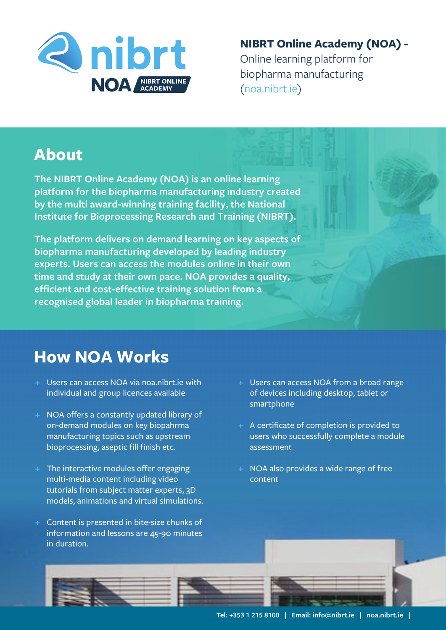

**NIBRT Online Academy (NOA) -**  Online learning platform for  $(noa.nibrt_ie)$ 

 $($ 

## **About**

**The NIBRT Online Academy (NOA) is an online learning platform for the biopharma manufacturing industry created by the multi award-winning training facility, the National Institute for Bioprocessing Research and Training (NIBRT).**

**The platform delivers on demand learning on key aspects of biopharma manufacturing developed by leading industry experts. Users can access the modules online in their own time and study at their own pace. NOA provides a quality, efficient and cost-effective training solution from a recognised global leader in biopharma training.**

## **How NOA Works**

- **+** Users can access NOA via noa.nibrt.ie with individual and group licences available
- **+** NOA offers a constantly updated library of on-demand modules on key biopahrma manufacturing topics such as upstream bioprocessing, aseptic fill finish etc.
- **+** The interactive modules offer engaging multi-media content including video tutorials from subject matter experts, 3D models, animations and virtual simulations.
- **+** Content is presented in bite-size chunks of information and lessons are 45-90 minutes in duration.
- **+** Users can access NOA from a broad range of devices including desktop, tablet or smartphone
- **+** A certificate of completion is provided to users who successfully complete a module assessment
- **+** NOA also provides a wide range of free content

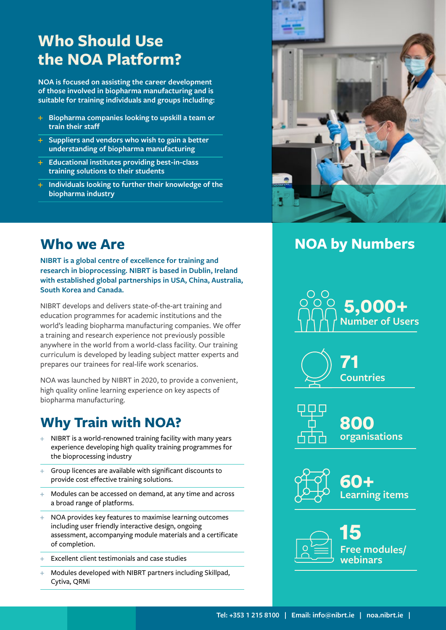## **Who Should Use the NOA Platform?**

**NOA is focused on assisting the career development of those involved in biopharma manufacturing and is suitable for training individuals and groups including:**

- **Biopharma companies looking to upskill a team or train their staff**
- **Suppliers and vendors who wish to gain a better understanding of biopharma manufacturing**
- **Educational institutes providing best-in-class training solutions to their students**
- **Individuals looking to further their knowledge of the biopharma industry**

### **Who we Are**

**NIBRT is a global centre of excellence for training and research in bioprocessing. NIBRT is based in Dublin, Ireland with established global partnerships in USA, China, Australia, South Korea and Canada.**

NIBRT develops and delivers state-of-the-art training and education programmes for academic institutions and the world's leading biopharma manufacturing companies. We offer a training and research experience not previously possible anywhere in the world from a world-class facility. Our training curriculum is developed by leading subject matter experts and prepares our trainees for real-life work scenarios.

NOA was launched by NIBRT in 2020, to provide a convenient, high quality online learning experience on key aspects of biopharma manufacturing.

# **Why Train with NOA?**

- **NIBRT** is a world-renowned training facility with many years experience developing high quality training programmes for the bioprocessing industry
- Group licences are available with significant discounts to provide cost effective training solutions.
- Modules can be accessed on demand, at any time and across a broad range of platforms.<br>NOA provides levefactures to  $\frac{1}{\sqrt{1-\frac{1}{2}}\cdot\frac{1}{2}}$
- NOA provides key features to maximise learning outcomes<br>including user friendly interactive design, ongoing **including user friendly interactive design, ongoing** including user friendly interactive design, ongoing assessment, accompanying module materials and a certificate of completion.
- Excellent client testimonials and case studies
- Modules developed with NIBRT partners including Skillpad, 15 Cytiva, QRMi



### **NOA by Numbers**







**organisations** 800



**Learning items** 60+



**Free modules/ webinars** 15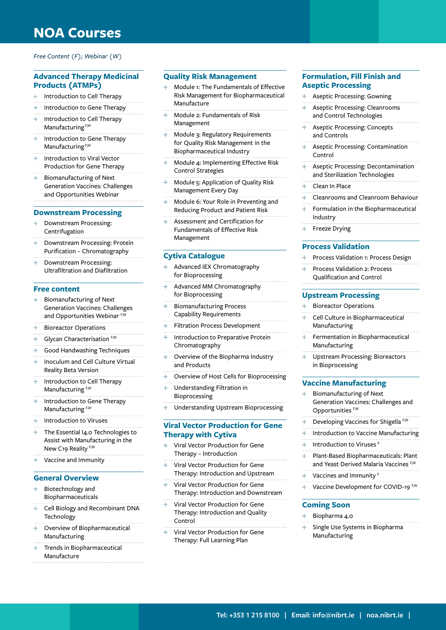### **NOA Courses**

#### *Free Content (F); Webinar (W)*

#### **Advanced Therapy Medicinal Products (ATMPs)**

- Introduction to Cell Therapy ÷
- Introduction to Gene Therapy
- 4 Introduction to Cell Therapy Manufacturing<sup>F,W</sup>
- $\ddot{}$ Introduction to Gene Therapy Manufacturing<sup>F,W</sup>
- Introduction to Viral Vector Production for Gene Therapy
- Biomanufacturing of Next Generation Vaccines: Challenges and Opportunities Webinar

#### **Downstream Processing**

- $\pm$ Downstream Processing: Centrifugation
- Downstream Processing: Protein Purification – Chromatography
- $\ddot{\phantom{1}}$ Downstream Processing: Ultrafiltration and Diafiltration

#### **Free content**

- ÷ Biomanufacturing of Next Generation Vaccines: Challenges and Opportunities Webinar F,W
- Bioreactor Operations
- Glycan Characterisation F,W
- Good Handwashing Techniques
- $\ddot{\phantom{1}}$ Inoculum and Cell Culture Virtual Reality Beta Version
- ÷ Introduction to Cell Therapy Manufacturing F,W
- $\ddot{\phantom{1}}$ Introduction to Gene Therapy Manufacturing F,W
- Introduction to Viruses
- $\ddot{\phantom{1}}$ The Essential I4.0 Technologies to Assist with Manufacturing in the New C19 Reality<sup>F,W</sup>
- Vaccine and Immunity

#### **General Overview**

- Biotechnology and Biopharmaceuticals
- Cell Biology and Recombinant DNA **Technology**
- Overview of Biopharmaceutical Manufacturing
- Trends in Biopharmaceutical Manufacture

#### **Quality Risk Management**

- Module 1: The Fundamentals of Effective Risk Management for Biopharmaceutical Manufacture
- 4 Module 2: Fundamentals of Risk Management
- Module 3: Regulatory Requirements for Quality Risk Management in the Biopharmaceutical Industry
- Ļ. Module 4: Implementing Effective Risk Control Strategies
- ÷ Module 5: Application of Quality Risk Management Every Day
- ÷. Module 6: Your Role in Preventing and Reducing Product and Patient Risk
- ц. Assessment and Certification for Fundamentals of Effective Risk Management

#### **Cytiva Catalogue**

- Advanced IEX Chromatography ÷ for Bioprocessing
- Ą. Advanced MM Chromatography for Bioprocessing
- ÷ Biomanufacturing Process Capability Requirements
- ÷ Filtration Process Development
- ÷ Introduction to Preparative Protein Chromatography
- $\ddot{}$ Overview of the Biopharma Industry and Products
- Overview of Host Cells for Bioprocessing á,
- Understanding Filtration in ÷ Bioprocessing
- Understanding Upstream Bioprocessing

#### **Viral Vector Production for Gene Therapy with Cytiva**

- Viral Vector Production for Gene Therapy – Introduction
- ÷. Viral Vector Production for Gene Therapy: Introduction and Upstream
- $\ddot{}$ Viral Vector Production for Gene Therapy: Introduction and Downstream
- Viral Vector Production for Gene Therapy: Introduction and Quality Control
- 4 Viral Vector Production for Gene Therapy: Full Learning Plan

#### **Formulation, Fill Finish and Aseptic Processing**

- Aseptic Processing: Gowning ÷.
- Aseptic Processing: Cleanrooms 4 and Control Technologies
- Aseptic Processing: Concepts ÷ and Controls
- Aseptic Processing: Contamination ÷ Control
- ų. Aseptic Processing: Decontamination and Sterilization Technologies
- ÷ Clean In Place
- Cleanrooms and Cleanroom Behaviour ă.
- Formulation in the Biopharmaceutical 4 Industry
- Freeze Drying

#### **Process Validation**

- Process Validation 1: Process Design
- Process Validation 2: Process Qualification and Control

#### **Upstream Processing**

- ÷. Bioreactor Operations
- ă. Cell Culture in Biopharmaceutical Manufacturing
- ÷ Fermentation in Biopharmaceutical Manufacturing
- ¢, Upstream Processing: Bioreactors in Bioprocessing

#### **Vaccine Manufacturing**

- ÷ Biomanufacturing of Next Generation Vaccines: Challenges and Opportunities F,W
- Developing Vaccines for Shigella<sup>F,W</sup>
- Introduction to Vaccine Manufacturing
- Introduction to Viruses F
- á. Plant-Based Biopharmaceuticals: Plant and Yeast Derived Malaria Vaccines F,W
- Vaccines and Immunity<sup>1</sup>
- Vaccine Development for COVID-19 F,W

#### **Coming Soon**

- ÷ Biopharma 4.0
- Single Use Systems in Biopharma Manufacturing